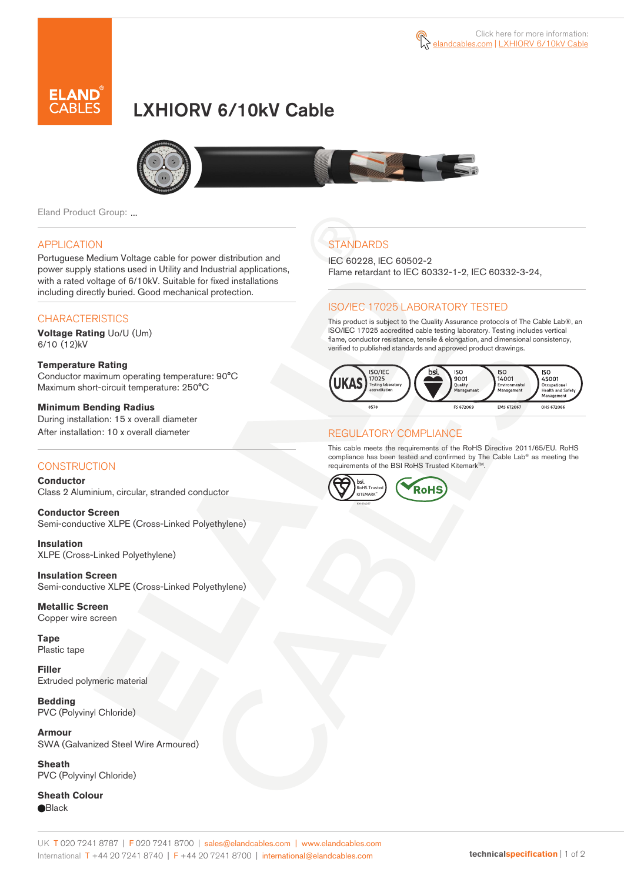

# LXHIORV 6/10kV Cable



Eland Product Group: ...

#### APPLICATION

Portuguese Medium Voltage cable for power distribution and power supply stations used in Utility and Industrial applications, with a rated voltage of 6/10kV. Suitable for fixed installations including directly buried. Good mechanical protection.

### **CHARACTERISTICS**

**Voltage Rating** Uo/U (Um) 6/10 (12)kV

#### **Temperature Rating**  Conductor maximum operating temperature: 90°C Maximum short-circuit temperature: 250°C

**Minimum Bending Radius**  During installation: 15 x overall diameter After installation: 10 x overall diameter

### **CONSTRUCTION**

**Conductor**  Class 2 Aluminium, circular, stranded conductor

**Conductor Screen** Semi-conductive XLPE (Cross-Linked Polyethylene)

**Insulation** XLPE (Cross-Linked Polyethylene)

**Insulation Screen** Semi-conductive XLPE (Cross-Linked Polyethylene)

**Metallic Screen**  Copper wire screen

**Tape**  Plastic tape

**Filler** Extruded polymeric material

**Bedding** PVC (Polyvinyl Chloride)

**Armour** SWA (Galvanized Steel Wire Armoured)

**Sheath** PVC (Polyvinyl Chloride)

**Sheath Colour Black** 

## **STANDARDS**

IEC 60228, IEC 60502-2 Flame retardant to IEC 60332-1-2, IEC 60332-3-24,

### ISO/IEC 17025 LABORATORY TESTED

This product is subject to the Quality Assurance protocols of The Cable Lab®, an ISO/IEC 17025 accredited cable testing laboratory. Testing includes vertical flame, conductor resistance, tensile & elongation, and dimensional consistency, verified to published standards and approved product drawings.



### REGULATORY COMPLIANCE

This cable meets the requirements of the RoHS Directive 2011/65/EU. RoHS compliance has been tested and confirmed by The Cable Lab® as meeting the requirements of the BSI RoHS Trusted Kitemark<sup>TM</sup>.